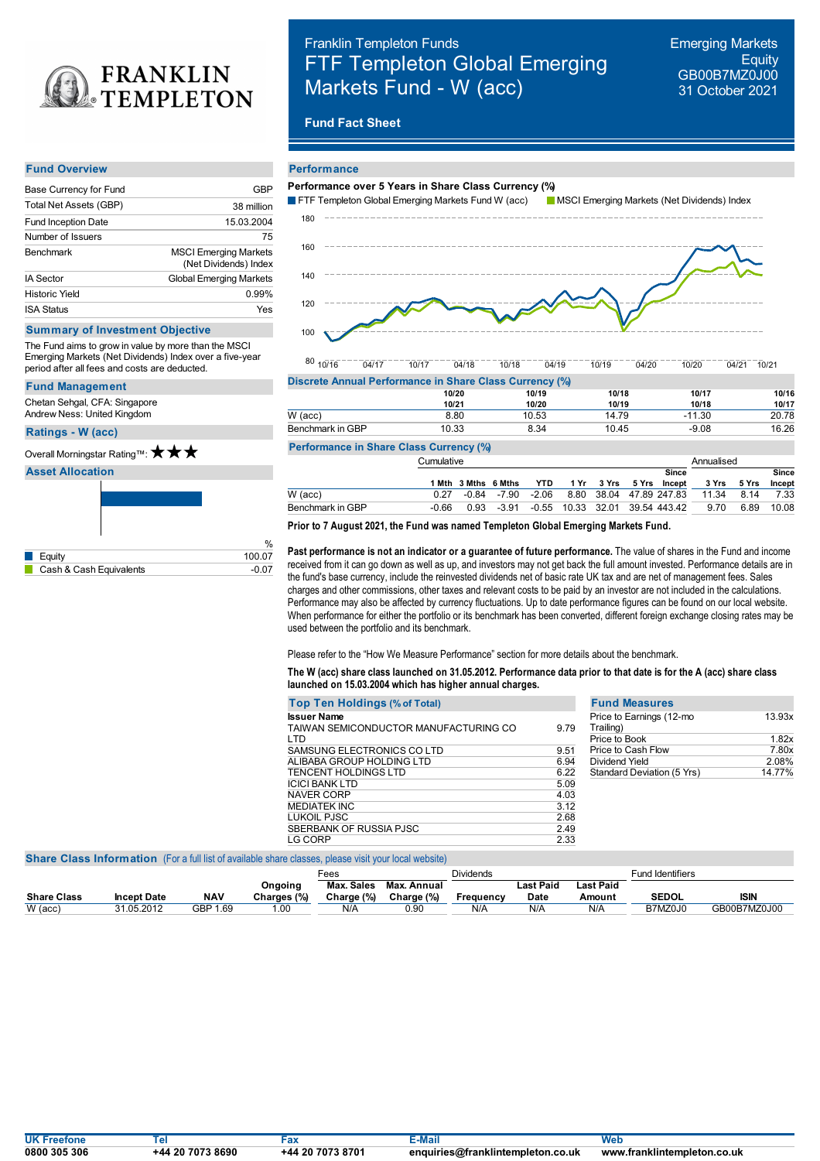

## Franklin Templeton Funds FTF Templeton Global Emerging Markets Fund - W (acc)

Emerging Markets **Equity** GB00B7MZ0J00 31 October 2021

## **Fund Fact Sheet**

#### **Fund Overview**

| Base Currency for Fund     | GBP                                                   |
|----------------------------|-------------------------------------------------------|
| Total Net Assets (GBP)     | 38 million                                            |
| <b>Fund Inception Date</b> | 15.03.2004                                            |
| Number of Issuers          | 75                                                    |
| <b>Benchmark</b>           | <b>MSCI Emerging Markets</b><br>(Net Dividends) Index |
| <b>IA Sector</b>           | <b>Global Emerging Markets</b>                        |
| <b>Historic Yield</b>      | 0.99%                                                 |
| <b>ISA Status</b>          | Yes                                                   |

## **Summary of Investment Objective**

The Fund aims to grow in value by more than the MSCI Emerging Markets (Net Dividends) Index over a five-year period after all fees and costs are deducted.

#### **Fund Management**

Chetan Sehgal, CFA: Singapore Andrew Ness: United Kingdom

**Ratings -W (acc)** Overall Morningstar Rating™: ★ ★ ★

## **Asset Allocation**



# **Performance**



 $80$   $10/16$ 10/16 04/17 10/17 04/18 10/18 04/19 10/19 04/20 10/20 04/21 10/21

| 10/20 | 10/19 | 10/18                                                   | 10/17   | 10/16 |
|-------|-------|---------------------------------------------------------|---------|-------|
| 10/21 | 10/20 | 10/19                                                   | 10/18   | 10/17 |
| 8.80  | 10.53 | 14.79                                                   | -11.30  | 20.78 |
| 10.33 | 8.34  | 10.45                                                   | $-9.08$ | 16.26 |
|       |       | Discrete Annual Performance in Share Class Currency (%) |         |       |

## **Performance in Share Class Currency (%)**

| <b>1 CHORNIGHOU IN OTHER CHASS OUTFUNDY</b> |            |  |                                                 |  |  |  |  |       |                                                      |            |              |  |
|---------------------------------------------|------------|--|-------------------------------------------------|--|--|--|--|-------|------------------------------------------------------|------------|--------------|--|
|                                             | Cumulative |  |                                                 |  |  |  |  |       |                                                      | Annualised |              |  |
|                                             |            |  |                                                 |  |  |  |  | Since |                                                      |            | <b>Since</b> |  |
|                                             |            |  | 1 Mth 3 Mths 6 Mths YTD 1 Yr 3 Yrs 5 Yrs Incept |  |  |  |  |       | 3 Yrs 5 Yrs                                          |            | Incept       |  |
| W (acc)                                     | 0.27       |  |                                                 |  |  |  |  |       | -0.84 -7.90 -2.06 8.80 38.04 47.89 247.83 11.34 8.14 |            | 7.33         |  |
| Benchmark in GBP                            | -0.66      |  | 0.93 -3.91 -0.55 10.33 32.01 39.54 443.42       |  |  |  |  |       | 9.70                                                 | 6.89       | 10.08        |  |
|                                             |            |  |                                                 |  |  |  |  |       |                                                      |            |              |  |

## **Prior to 7 August 2021, the Fund was named Templeton Global Emerging Markets Fund.**

**Past performance is not an indicator or a guarantee of future performance.** The value of shares in the Fund and income received from it can go down as well as up, and investors may not get back the full amount invested. Performance details are in the fund's base currency, include the reinvested dividends net of basic rate UK tax and are net of management fees. Sales charges and other commissions, other taxes and relevant costs to be paid by an investor are not included in the calculations. Performance may also be affected by currency fluctuations. Up to date performance figures can be found on our local website. When performance for either the portfolio or its benchmark has been converted, different foreign exchange closing rates may be used between the portfolio and its benchmark.

Please refer to the "How We Measure Performance" section for more details about the benchmark.

## The W (acc) share class launched on 31.05.2012. Performance data prior to that date is for the A (acc) share class **launched on 15.03.2004 which has higher annual charges.**

| <b>Top Ten Holdings (% of Total)</b>                        |      | <b>Fund Measures</b>                  |        |
|-------------------------------------------------------------|------|---------------------------------------|--------|
| <b>Issuer Name</b><br>TAIWAN SEMICONDUCTOR MANUFACTURING CO | 9.79 | Price to Earnings (12-mo<br>Trailing) | 13.93x |
| LTD                                                         |      | Price to Book                         | 1.82x  |
| SAMSUNG ELECTRONICS CO LTD                                  | 9.51 | Price to Cash Flow                    | 7.80x  |
| ALIBABA GROUP HOLDING LTD                                   | 6.94 | Dividend Yield                        | 2.08%  |
| TENCENT HOLDINGS LTD                                        | 6.22 | Standard Deviation (5 Yrs)            | 14.77% |
| ICICI BANK LTD                                              | 5.09 |                                       |        |
| <b>NAVER CORP</b>                                           | 4.03 |                                       |        |
| MEDIATEK INC                                                | 3.12 |                                       |        |
| LUKOIL PJSC                                                 | 2.68 |                                       |        |
| SBERBANK OF RUSSIA PJSC                                     | 2.49 |                                       |        |
| LG CORP                                                     | 2.33 |                                       |        |
|                                                             |      |                                       |        |

#### **Share Class Information** (For a full list of available share classes, please visit your local website)

|                    |                    |            |             | <sup>⊏</sup> ees |             | Dividends |           |           | <b>Fund Identifiers</b> |              |
|--------------------|--------------------|------------|-------------|------------------|-------------|-----------|-----------|-----------|-------------------------|--------------|
|                    |                    |            | Ongoing     | Max. Sales       | Max. Annual |           | Last Paid | Last Paid |                         |              |
| <b>Share Class</b> | <b>Incept Date</b> | <b>NAV</b> | Charges (%) | Charge (%)       | Charge (%)  | Frequency | Date      | Amount    | <b>SEDOL</b>            | <b>ISIN</b>  |
| $W$ (acc)          | 31.05.2012         | GBP 1.69   | .00         | N/A              | 0.90        | N/A       | N/A       | N/A       | B7MZ0J0                 | GB00B7MZ0J00 |